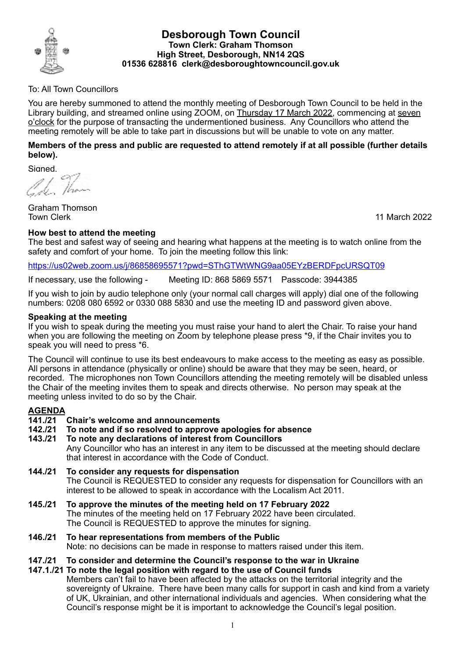

# **Desborough Town Council Town Clerk: Graham Thomson High Street, Desborough, NN14 2QS 01536 628816 clerk@desboroughtowncouncil.gov.uk**

# To: All Town Councillors

You are hereby summoned to attend the monthly meeting of Desborough Town Council to be held in the Library building, and streamed online using ZOOM, on Thursday 17 March 2022, commencing at seven o'clock for the purpose of transacting the undermentioned business. Any Councillors who attend the meeting remotely will be able to take part in discussions but will be unable to vote on any matter.

# **Members of the press and public are requested to attend remotely if at all possible (further details below).**

Signed,

Č.

Graham Thomson

11 March 2022

## **How best to attend the meeting**

The best and safest way of seeing and hearing what happens at the meeting is to watch online from the safety and comfort of your home. To join the meeting follow this link:

#### <https://us02web.zoom.us/j/86858695571?pwd=SThGTWtWNG9aa05EYzBERDFpcURSQT09>

If necessary, use the following - Meeting ID: 868 5869 5571 Passcode: 3944385

If you wish to join by audio telephone only (your normal call charges will apply) dial one of the following numbers: 0208 080 6592 or 0330 088 5830 and use the meeting ID and password given above.

## **Speaking at the meeting**

If you wish to speak during the meeting you must raise your hand to alert the Chair. To raise your hand when you are following the meeting on Zoom by telephone please press \*9, if the Chair invites you to speak you will need to press \*6.

The Council will continue to use its best endeavours to make access to the meeting as easy as possible. All persons in attendance (physically or online) should be aware that they may be seen, heard, or recorded. The microphones non Town Councillors attending the meeting remotely will be disabled unless the Chair of the meeting invites them to speak and directs otherwise. No person may speak at the meeting unless invited to do so by the Chair.

#### **AGENDA**

#### **141./21 Chair's welcome and announcements**

- **142./21 To note and if so resolved to approve apologies for absence**
- **143./21 To note any declarations of interest from Councillors** Any Councillor who has an interest in any item to be discussed at the meeting should declare that interest in accordance with the Code of Conduct.
- **144./21 To consider any requests for dispensation** The Council is REQUESTED to consider any requests for dispensation for Councillors with an interest to be allowed to speak in accordance with the Localism Act 2011.
- **145./21 To approve the minutes of the meeting held on 17 February 2022** The minutes of the meeting held on 17 February 2022 have been circulated. The Council is REQUESTED to approve the minutes for signing.
- **146./21 To hear representations from members of the Public**  Note: no decisions can be made in response to matters raised under this item.

# **147./21 To consider and determine the Council's response to the war in Ukraine**

**147.1./21 To note the legal position with regard to the use of Council funds** Members can't fail to have been affected by the attacks on the territorial integrity and the sovereignty of Ukraine. There have been many calls for support in cash and kind from a variety of UK, Ukrainian, and other international individuals and agencies. When considering what the Council's response might be it is important to acknowledge the Council's legal position.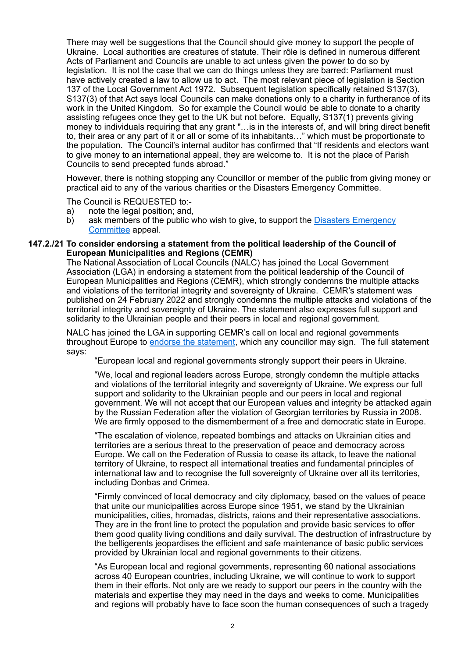There may well be suggestions that the Council should give money to support the people of Ukraine. Local authorities are creatures of statute. Their rôle is defined in numerous different Acts of Parliament and Councils are unable to act unless given the power to do so by legislation. It is not the case that we can do things unless they are barred: Parliament must have actively created a law to allow us to act. The most relevant piece of legislation is Section 137 of the Local Government Act 1972. Subsequent legislation specifically retained S137(3). S137(3) of that Act says local Councils can make donations only to a charity in furtherance of its work in the United Kingdom. So for example the Council would be able to donate to a charity assisting refugees once they get to the UK but not before. Equally, S137(1) prevents giving money to individuals requiring that any grant "…is in the interests of, and will bring direct benefit to, their area or any part of it or all or some of its inhabitants…" which must be proportionate to the population. The Council's internal auditor has confirmed that "If residents and electors want to give money to an international appeal, they are welcome to. It is not the place of Parish Councils to send precepted funds abroad."

However, there is nothing stopping any Councillor or member of the public from giving money or practical aid to any of the various charities or the [Disasters Emergency Committee.](https://www.dec.org.uk/appeal/ukraine-humanitarian-appeal)

The Council is REQUESTED to:-

- a) note the legal position; and,
- b) ask members of the public who wish to give, to support the [Disasters Emergency](https://www.dec.org.uk/appeal/ukraine-humanitarian-appeal)  [Committee](https://www.dec.org.uk/appeal/ukraine-humanitarian-appeal) appeal.

#### **147.2./21 To consider endorsing a statement from the political leadership of the Council of European Municipalities and Regions (CEMR)**

The National Association of Local Councils (NALC) has joined the Local Government Association (LGA) in endorsing a statement from the political leadership of the Council of European Municipalities and Regions (CEMR), which strongly condemns the multiple attacks and violations of the territorial integrity and sovereignty of Ukraine. CEMR's statement was published on 24 February 2022 and strongly condemns the multiple attacks and violations of the territorial integrity and sovereignty of Ukraine. The statement also expresses full support and solidarity to the Ukrainian people and their peers in local and regional government.

NALC has joined the LGA in supporting CEMR's call on local and regional governments throughout Europe to [endorse the statement,](https://docs.google.com/forms/d/e/1FAIpQLSdsMU6TtDJUM9JiOvBo29LHV_kHVIIuhbj8vmlw34loTatUdQ/viewform) which any councillor may sign. The full statement says:

"European local and regional governments strongly support their peers in Ukraine.

"We, local and regional leaders across Europe, strongly condemn the multiple attacks and violations of the territorial integrity and sovereignty of Ukraine. We express our full support and solidarity to the Ukrainian people and our peers in local and regional government. We will not accept that our European values and integrity be attacked again by the Russian Federation after the violation of Georgian territories by Russia in 2008. We are firmly opposed to the dismemberment of a free and democratic state in Europe.

"The escalation of violence, repeated bombings and attacks on Ukrainian cities and territories are a serious threat to the preservation of peace and democracy across Europe. We call on the Federation of Russia to cease its attack, to leave the national territory of Ukraine, to respect all international treaties and fundamental principles of international law and to recognise the full sovereignty of Ukraine over all its territories, including Donbas and Crimea.

"Firmly convinced of local democracy and city diplomacy, based on the values of peace that unite our municipalities across Europe since 1951, we stand by the Ukrainian municipalities, cities, hromadas, districts, raions and their representative associations. They are in the front line to protect the population and provide basic services to offer them good quality living conditions and daily survival. The destruction of infrastructure by the belligerents jeopardises the efficient and safe maintenance of basic public services provided by Ukrainian local and regional governments to their citizens.

"As European local and regional governments, representing 60 national associations across 40 European countries, including Ukraine, we will continue to work to support them in their efforts. Not only are we ready to support our peers in the country with the materials and expertise they may need in the days and weeks to come. Municipalities and regions will probably have to face soon the human consequences of such a tragedy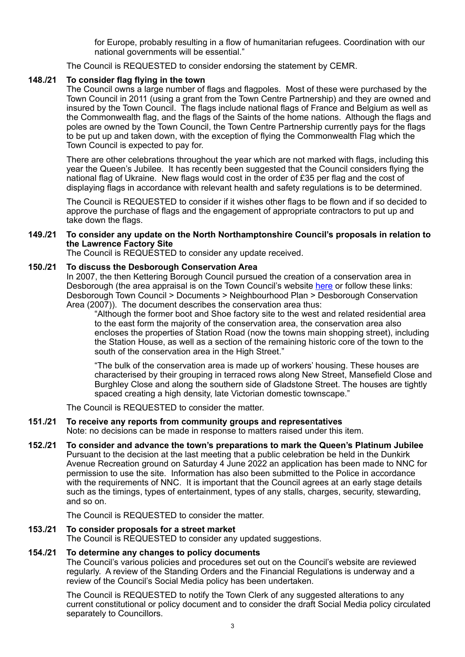for Europe, probably resulting in a flow of humanitarian refugees. Coordination with our national governments will be essential."

The Council is REQUESTED to consider endorsing the statement by CEMR.

# **148./21 To consider flag flying in the town**

The Council owns a large number of flags and flagpoles. Most of these were purchased by the Town Council in 2011 (using a grant from the Town Centre Partnership) and they are owned and insured by the Town Council. The flags include national flags of France and Belgium as well as the Commonwealth flag, and the flags of the Saints of the home nations. Although the flags and poles are owned by the Town Council, the Town Centre Partnership currently pays for the flags to be put up and taken down, with the exception of flying the Commonwealth Flag which the Town Council is expected to pay for.

There are other celebrations throughout the year which are not marked with flags, including this year the Queen's Jubilee. It has recently been suggested that the Council considers flying the national flag of Ukraine. New flags would cost in the order of £35 per flag and the cost of displaying flags in accordance with relevant health and safety regulations is to be determined.

The Council is REQUESTED to consider if it wishes other flags to be flown and if so decided to approve the purchase of flags and the engagement of appropriate contractors to put up and take down the flags.

## **149./21 To consider any update on the North Northamptonshire Council's proposals in relation to the Lawrence Factory Site**

The Council is REQUESTED to consider any update received.

## **150./21 To discuss the Desborough Conservation Area**

In 2007, the then Kettering Borough Council pursued the creation of a conservation area in Desborough (the area appraisal is on the Town Council's website [here](https://desboroughtowncouncil.gov.uk/wp-content/uploads/2022/03/Desborough-Conservation-Area-2007.pdf) or follow these links: Desborough Town Council > Documents > Neighbourhood Plan > Desborough Conservation Area (2007)). The document describes the conservation area thus:

"Although the former boot and Shoe factory site to the west and related residential area to the east form the majority of the conservation area, the conservation area also encloses the properties of Station Road (now the towns main shopping street), including the Station House, as well as a section of the remaining historic core of the town to the south of the conservation area in the High Street."

"The bulk of the conservation area is made up of workers' housing. These houses are characterised by their grouping in terraced rows along New Street, Mansefield Close and Burghley Close and along the southern side of Gladstone Street. The houses are tightly spaced creating a high density, late Victorian domestic townscape."

The Council is REQUESTED to consider the matter.

# **151./21 To receive any reports from community groups and representatives**

Note: no decisions can be made in response to matters raised under this item.

**152./21 To consider and advance the town's preparations to mark the Queen's Platinum Jubilee** Pursuant to the decision at the last meeting that a public celebration be held in the Dunkirk Avenue Recreation ground on Saturday 4 June 2022 an application has been made to NNC for permission to use the site. Information has also been submitted to the Police in accordance with the requirements of NNC. It is important that the Council agrees at an early stage details such as the timings, types of entertainment, types of any stalls, charges, security, stewarding, and so on.

The Council is REQUESTED to consider the matter.

### **153./21 To consider proposals for a street market**

The Council is REQUESTED to consider any updated suggestions.

# **154./21 To determine any changes to policy documents**

The Council's various policies and procedures set out on the Council's website are reviewed regularly. A review of the Standing Orders and the Financial Regulations is underway and a review of the Council's Social Media policy has been undertaken.

The Council is REQUESTED to notify the Town Clerk of any suggested alterations to any current constitutional or policy document and to consider the draft Social Media policy circulated separately to Councillors.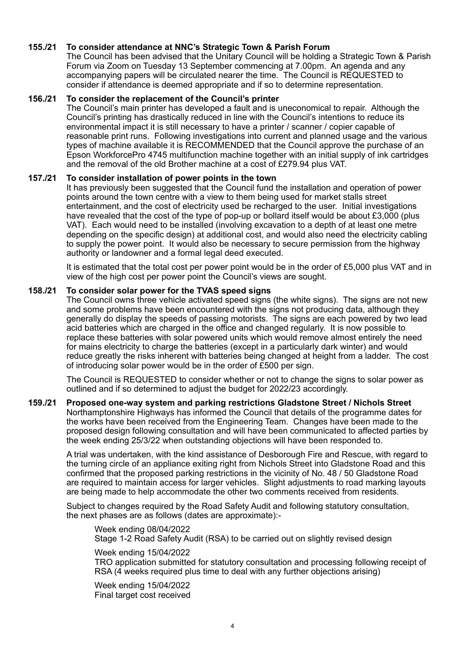# **155./21 To consider attendance at NNC's Strategic Town & Parish Forum**

The Council has been advised that the Unitary Council will be holding a Strategic Town & Parish Forum via Zoom on Tuesday 13 September commencing at 7.00pm. An agenda and any accompanying papers will be circulated nearer the time. The Council is REQUESTED to consider if attendance is deemed appropriate and if so to determine representation.

### **156./21 To consider the replacement of the Council's printer**

The Council's main printer has developed a fault and is uneconomical to repair. Although the Council's printing has drastically reduced in line with the Council's intentions to reduce its environmental impact it is still necessary to have a printer / scanner / copier capable of reasonable print runs. Following investigations into current and planned usage and the various types of machine available it is RECOMMENDED that the Council approve the purchase of an Epson WorkforcePro 4745 multifunction machine together with an initial supply of ink cartridges and the removal of the old Brother machine at a cost of £279.94 plus VAT.

## **157./21 To consider installation of power points in the town**

It has previously been suggested that the Council fund the installation and operation of power points around the town centre with a view to them being used for market stalls street entertainment, and the cost of electricity used be recharged to the user. Initial investigations have revealed that the cost of the type of pop-up or bollard itself would be about £3,000 (plus VAT). Each would need to be installed (involving excavation to a depth of at least one metre depending on the specific design) at additional cost, and would also need the electricity cabling to supply the power point. It would also be necessary to secure permission from the highway authority or landowner and a formal legal deed executed.

It is estimated that the total cost per power point would be in the order of £5,000 plus VAT and in view of the high cost per power point the Council's views are sought.

#### **158./21 To consider solar power for the TVAS speed signs**

The Council owns three vehicle activated speed signs (the white signs). The signs are not new and some problems have been encountered with the signs not producing data, although they generally do display the speeds of passing motorists. The signs are each powered by two lead acid batteries which are charged in the office and changed regularly. It is now possible to replace these batteries with solar powered units which would remove almost entirely the need for mains electricity to charge the batteries (except in a particularly dark winter) and would reduce greatly the risks inherent with batteries being changed at height from a ladder. The cost of introducing solar power would be in the order of £500 per sign.

The Council is REQUESTED to consider whether or not to change the signs to solar power as outlined and if so determined to adjust the budget for 2022/23 accordingly.

#### **159./21 Proposed one-way system and parking restrictions Gladstone Street / Nichols Street** Northamptonshire Highways has informed the Council that details of the programme dates for the works have been received from the Engineering Team. Changes have been made to the proposed design following consultation and will have been communicated to affected parties by the week ending 25/3/22 when outstanding objections will have been responded to.

A trial was undertaken, with the kind assistance of Desborough Fire and Rescue, with regard to the turning circle of an appliance exiting right from Nichols Street into Gladstone Road and this confirmed that the proposed parking restrictions in the vicinity of No. 48 / 50 Gladstone Road are required to maintain access for larger vehicles. Slight adjustments to road marking layouts are being made to help accommodate the other two comments received from residents.

Subject to changes required by the Road Safety Audit and following statutory consultation, the next phases are as follows (dates are approximate):-

Week ending 08/04/2022 Stage 1-2 Road Safety Audit (RSA) to be carried out on slightly revised design

Week ending 15/04/2022 TRO application submitted for statutory consultation and processing following receipt of RSA (4 weeks required plus time to deal with any further objections arising)

Week ending 15/04/2022 Final target cost received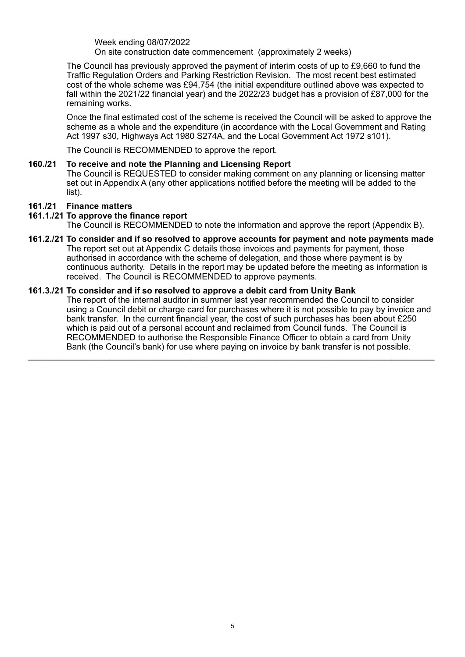Week ending 08/07/2022 On site construction date commencement (approximately 2 weeks)

The Council has previously approved the payment of interim costs of up to £9,660 to fund the Traffic Regulation Orders and Parking Restriction Revision. The most recent best estimated cost of the whole scheme was £94,754 (the initial expenditure outlined above was expected to fall within the 2021/22 financial year) and the 2022/23 budget has a provision of £87,000 for the remaining works.

Once the final estimated cost of the scheme is received the Council will be asked to approve the scheme as a whole and the expenditure (in accordance with the Local Government and Rating Act 1997 s30, Highways Act 1980 S274A, and the Local Government Act 1972 s101).

The Council is RECOMMENDED to approve the report.

## **160./21 To receive and note the Planning and Licensing Report** The Council is REQUESTED to consider making comment on any planning or licensing matter set out in Appendix A (any other applications notified before the meeting will be added to the list).

# **161./21 Finance matters**

## **161.1./21 To approve the finance report**

The Council is RECOMMENDED to note the information and approve the report (Appendix B).

**161.2./21 To consider and if so resolved to approve accounts for payment and note payments made** The report set out at Appendix C details those invoices and payments for payment, those authorised in accordance with the scheme of delegation, and those where payment is by continuous authority. Details in the report may be updated before the meeting as information is received. The Council is RECOMMENDED to approve payments.

 $\_$  , and the set of the set of the set of the set of the set of the set of the set of the set of the set of the set of the set of the set of the set of the set of the set of the set of the set of the set of the set of th

## **161.3./21 To consider and if so resolved to approve a debit card from Unity Bank**

The report of the internal auditor in summer last year recommended the Council to consider using a Council debit or charge card for purchases where it is not possible to pay by invoice and bank transfer. In the current financial year, the cost of such purchases has been about £250 which is paid out of a personal account and reclaimed from Council funds. The Council is RECOMMENDED to authorise the Responsible Finance Officer to obtain a card from Unity Bank (the Council's bank) for use where paying on invoice by bank transfer is not possible.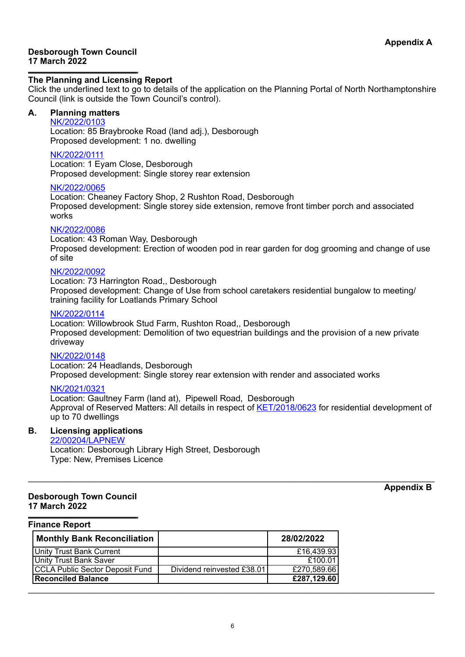### **Desborough Town Council 17 March 2022**

### **The Planning and Licensing Report**

Click the underlined text to go to details of the application on the Planning Portal of North Northamptonshire Council (link is outside the Town Council's control).

# **A. Planning matters**

#### [NK/2022/0103](https://www.kettering.gov.uk/planningApplication/131677)

Location: 85 Braybrooke Road (land adj.), Desborough Proposed development: 1 no. dwelling

#### [NK/2022/0111](https://www.kettering.gov.uk/planningApplication/131678)

Location: 1 Eyam Close, Desborough Proposed development: Single storey rear extension

#### [NK/2022/0065](https://www.kettering.gov.uk/planningApplication/131661)

Location: Cheaney Factory Shop, 2 Rushton Road, Desborough Proposed development: Single storey side extension, remove front timber porch and associated works

#### [NK/2022/0086](https://www.kettering.gov.uk/planningApplication/131700)

Location: 43 Roman Way, Desborough Proposed development: Erection of wooden pod in rear garden for dog grooming and change of use of site

### [NK/2022/0092](https://www.kettering.gov.uk/planningApplication/131691)

Location: 73 Harrington Road,, Desborough Proposed development: Change of Use from school caretakers residential bungalow to meeting/ training facility for Loatlands Primary School

#### [NK/2022/0114](https://www.kettering.gov.uk/planningApplication/131692)

Location: Willowbrook Stud Farm, Rushton Road,, Desborough Proposed development: Demolition of two equestrian buildings and the provision of a new private driveway

## [NK/2022/0148](https://www.kettering.gov.uk/planningApplication/131714)

Location: 24 Headlands, Desborough Proposed development: Single storey rear extension with render and associated works

### NK/2021/0321

Location: Gaultney Farm (land at), Pipewell Road, Desborough Approval of Reserved Matters: All details in respect of [KET/2018/0623](https://www.kettering.gov.uk/planningApplication/128165) for residential development of up to 70 dwellings

 $\_$  ,  $\_$  ,  $\_$  ,  $\_$  ,  $\_$  ,  $\_$  ,  $\_$  ,  $\_$  ,  $\_$  ,  $\_$  ,  $\_$  ,  $\_$  ,  $\_$  ,  $\_$  ,  $\_$  ,  $\_$  ,  $\_$  ,  $\_$  ,  $\_$  ,  $\_$  ,  $\_$  ,  $\_$  ,  $\_$  ,  $\_$  ,  $\_$  ,  $\_$  ,  $\_$  ,  $\_$  ,  $\_$  ,  $\_$  ,  $\_$  ,  $\_$  ,  $\_$  ,  $\_$  ,  $\_$  ,  $\_$  ,  $\_$  ,

# **B. Licensing applications**

#### [22/00204/LAPNEW](https://lipublicaccess.east-northamptonshire.gov.uk/online-licensing/licencingApplicationDetails.do?activeTab=summary&keyVal=R7G4D2GO0E300)

Location: Desborough Library High Street, Desborough Type: New, Premises Licence

# **Desborough Town Council 17 March 2022**

**Appendix B**

#### **Finance Report**

| <b>Monthly Bank Reconciliation</b> |                            | 28/02/2022  |
|------------------------------------|----------------------------|-------------|
| <b>Unity Trust Bank Current</b>    |                            | £16,439.93  |
| Unity Trust Bank Saver             |                            | £100.01     |
| CCLA Public Sector Deposit Fund    | Dividend reinvested £38.01 | £270,589.66 |
| <b>Reconciled Balance</b>          |                            | £287,129.60 |
|                                    |                            |             |